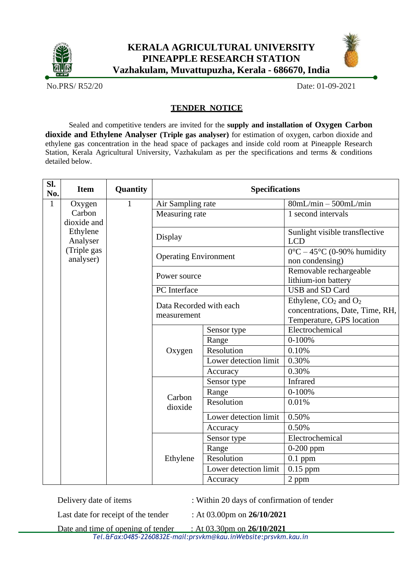



No.PRS/ R52/20 Date: 01-09-2021

## **TENDER NOTICE**

Sealed and competitive tenders are invited for the **supply and installation of Oxygen Carbon dioxide and Ethylene Analyser (Triple gas analyser)** for estimation of oxygen, carbon dioxide and ethylene gas concentration in the head space of packages and inside cold room at Pineapple Research Station, Kerala Agricultural University, Vazhakulam as per the specifications and terms & conditions detailed below.

| SI.<br>No.   | <b>Item</b>                                      | Quantity | <b>Specifications</b>                  |                       |                                                                                                              |
|--------------|--------------------------------------------------|----------|----------------------------------------|-----------------------|--------------------------------------------------------------------------------------------------------------|
| $\mathbf{1}$ | Oxygen                                           | 1        |                                        | Air Sampling rate     | $80mL/min - 500mL/min$                                                                                       |
|              | Carbon<br>dioxide and                            |          | Measuring rate                         |                       | 1 second intervals                                                                                           |
|              | Ethylene<br>Analyser<br>(Triple gas<br>analyser) |          | Display                                |                       | Sunlight visible transflective<br><b>LCD</b>                                                                 |
|              |                                                  |          | <b>Operating Environment</b>           |                       | $0^{\circ}$ C – 45°C (0-90% humidity<br>non condensing)                                                      |
|              |                                                  |          | Power source                           |                       | Removable rechargeable<br>lithium-ion battery                                                                |
|              |                                                  |          | PC Interface                           |                       | <b>USB</b> and SD Card                                                                                       |
|              |                                                  |          | Data Recorded with each<br>measurement |                       | Ethylene, CO <sub>2</sub> and O <sub>2</sub><br>concentrations, Date, Time, RH,<br>Temperature, GPS location |
|              |                                                  |          | Oxygen                                 | Sensor type           | Electrochemical                                                                                              |
|              |                                                  |          |                                        | Range                 | $0 - 100%$                                                                                                   |
|              |                                                  |          |                                        | Resolution            | 0.10%                                                                                                        |
|              |                                                  |          |                                        | Lower detection limit | 0.30%                                                                                                        |
|              |                                                  |          |                                        | Accuracy              | 0.30%                                                                                                        |
|              |                                                  |          | Carbon<br>dioxide                      | Sensor type           | Infrared                                                                                                     |
|              |                                                  |          |                                        | Range                 | $0 - 100%$                                                                                                   |
|              |                                                  |          |                                        | Resolution            | 0.01%                                                                                                        |
|              |                                                  |          |                                        | Lower detection limit | 0.50%                                                                                                        |
|              |                                                  |          |                                        | Accuracy              | 0.50%                                                                                                        |
|              |                                                  |          | Ethylene                               | Sensor type           | Electrochemical                                                                                              |
|              |                                                  |          |                                        | Range                 | $0-200$ ppm                                                                                                  |
|              |                                                  |          |                                        | Resolution            | $0.1$ ppm                                                                                                    |
|              |                                                  |          |                                        | Lower detection limit | 0.15 ppm                                                                                                     |
|              |                                                  |          |                                        | Accuracy              | 2 ppm                                                                                                        |

Delivery date of items : Within 20 days of confirmation of tender

Last date for receipt of the tender : At 03.00pm on **26/10/2021**

*Tel.&Fax:0485-2260832E-mail[:prsvkm@kau.inWebsite:p](mailto:prsvkm@kau.inWebsite)rsvkm.kau.in* Date and time of opening of tender : At 03.30pm on **26/10/2021**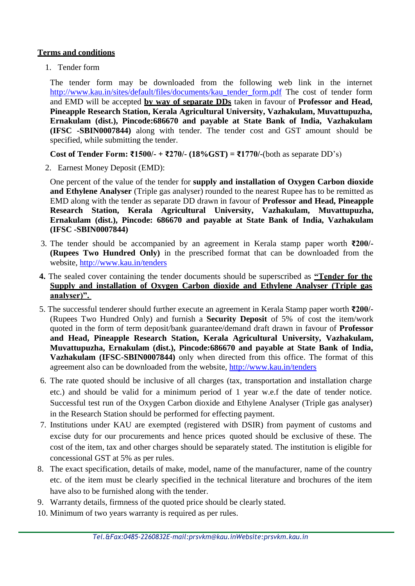## **Terms and conditions**

1. Tender form

The tender form may be downloaded from the following web link in the internet [http://www.kau.in/sites/default/files/documents/kau\\_tender\\_form.pdf](http://www.kau.in/sites/default/files/documents/kau_tender_form.pdf) The cost of tender form and EMD will be accepted **by way of separate DDs** taken in favour of **Professor and Head, Pineapple Research Station, Kerala Agricultural University, Vazhakulam, Muvattupuzha, Ernakulam (dist.), Pincode:686670 and payable at State Bank of India, Vazhakulam (IFSC -SBIN0007844)** along with tender. The tender cost and GST amount should be specified, while submitting the tender.

**Cost of Tender Form: ₹1500/- + ₹270/- (18%GST) = ₹1770/-**(both as separate DD's)

2. Earnest Money Deposit (EMD):

One percent of the value of the tender for **supply and installation of Oxygen Carbon dioxide and Ethylene Analyser** (Triple gas analyser) rounded to the nearest Rupee has to be remitted as EMD along with the tender as separate DD drawn in favour of **Professor and Head, Pineapple Research Station, Kerala Agricultural University, Vazhakulam, Muvattupuzha, Ernakulam (dist.), Pincode: 686670 and payable at State Bank of India, Vazhakulam (IFSC -SBIN0007844)**

- 3. The tender should be accompanied by an agreement in Kerala stamp paper worth **₹200/- (Rupees Two Hundred Only)** in the prescribed format that can be downloaded from the website, <http://www.kau.in/tenders>
- **4.** The sealed cover containing the tender documents should be superscribed as **"Tender for the Supply and installation of Oxygen Carbon dioxide and Ethylene Analyser (Triple gas analyser)".**
- 5. The successful tenderer should further execute an agreement in Kerala Stamp paper worth **₹200/-** (Rupees Two Hundred Only) and furnish a **Security Deposit** of 5% of cost the item/work quoted in the form of term deposit/bank guarantee/demand draft drawn in favour of **Professor and Head, Pineapple Research Station, Kerala Agricultural University, Vazhakulam, Muvattupuzha, Ernakulam (dist.), Pincode:686670 and payable at State Bank of India, Vazhakulam (IFSC-SBIN0007844)** only when directed from this office. The format of this agreement also can be downloaded from the website, <http://www.kau.in/tenders>
- 6. The rate quoted should be inclusive of all charges (tax, transportation and installation charge etc.) and should be valid for a minimum period of 1 year w.e.f the date of tender notice. Successful test run of the Oxygen Carbon dioxide and Ethylene Analyser (Triple gas analyser) in the Research Station should be performed for effecting payment.
- 7. Institutions under KAU are exempted (registered with DSIR) from payment of customs and excise duty for our procurements and hence prices quoted should be exclusive of these. The cost of the item, tax and other charges should be separately stated. The institution is eligible for concessional GST at 5% as per rules.
- 8. The exact specification, details of make, model, name of the manufacturer, name of the country etc. of the item must be clearly specified in the technical literature and brochures of the item have also to be furnished along with the tender.
- 9. Warranty details, firmness of the quoted price should be clearly stated.
- 10. Minimum of two years warranty is required as per rules.